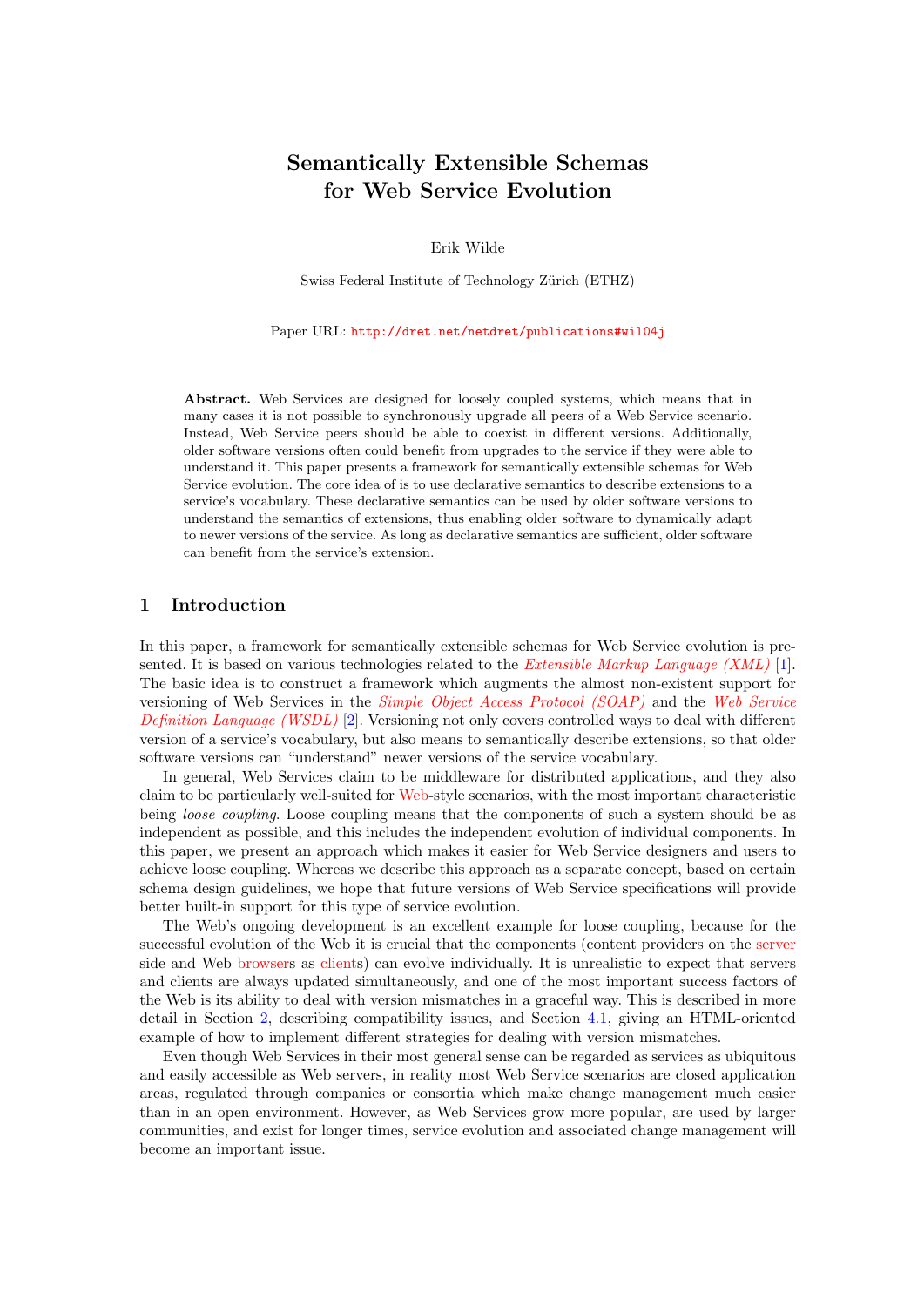# Semantically Extensible Schemas for Web Service Evolution

Erik Wilde

Swiss Federal Institute of Technology Zürich (ETHZ)

Paper URL: <http://dret.net/netdret/publications#wil04j>

Abstract. Web Services are designed for loosely coupled systems, which means that in many cases it is not possible to synchronously upgrade all peers of a Web Service scenario. Instead, Web Service peers should be able to coexist in different versions. Additionally, older software versions often could benefit from upgrades to the service if they were able to understand it. This paper presents a framework for semantically extensible schemas for Web Service evolution. The core idea of is to use declarative semantics to describe extensions to a service's vocabulary. These declarative semantics can be used by older software versions to understand the semantics of extensions, thus enabling older software to dynamically adapt to newer versions of the service. As long as declarative semantics are sufficient, older software can benefit from the service's extension.

## 1 Introduction

In this paper, a framework for semantically extensible schemas for Web Service evolution is presented. It is based on various technologies related to the *Extensible Markup Language* (*XML*) [\[1\]](#page-11-0). The basic idea is to construct a framework which augments the almost non-existent support for versioning of Web Services in the [Simple Object Access Protocol \(SOAP\)](http://dret.net/glossary/soap) and the [Web Service](http://dret.net/glossary/wsdl) [Definition Language \(WSDL\)](http://dret.net/glossary/wsdl) [\[2\]](#page-11-0). Versioning not only covers controlled ways to deal with different version of a service's vocabulary, but also means to semantically describe extensions, so that older software versions can "understand" newer versions of the service vocabulary.

In general, Web Services claim to be middleware for distributed applications, and they also claim to be particularly well-suited for [Web-](http://dret.net/glossary/www)style scenarios, with the most important characteristic being loose coupling. Loose coupling means that the components of such a system should be as independent as possible, and this includes the independent evolution of individual components. In this paper, we present an approach which makes it easier for Web Service designers and users to achieve loose coupling. Whereas we describe this approach as a separate concept, based on certain schema design guidelines, we hope that future versions of Web Service specifications will provide better built-in support for this type of service evolution.

The Web's ongoing development is an excellent example for loose coupling, because for the successful evolution of the Web it is crucial that the components (content providers on the [server](http://dret.net/glossary/server) side and Web [browsers](http://dret.net/glossary/browser) as [clients](http://dret.net/glossary/client)) can evolve individually. It is unrealistic to expect that servers and clients are always updated simultaneously, and one of the most important success factors of the Web is its ability to deal with version mismatches in a graceful way. This is described in more detail in Section [2,](#page-1-0) describing compatibility issues, and Section [4.1,](#page-4-0) giving an HTML-oriented example of how to implement different strategies for dealing with version mismatches.

Even though Web Services in their most general sense can be regarded as services as ubiquitous and easily accessible as Web servers, in reality most Web Service scenarios are closed application areas, regulated through companies or consortia which make change management much easier than in an open environment. However, as Web Services grow more popular, are used by larger communities, and exist for longer times, service evolution and associated change management will become an important issue.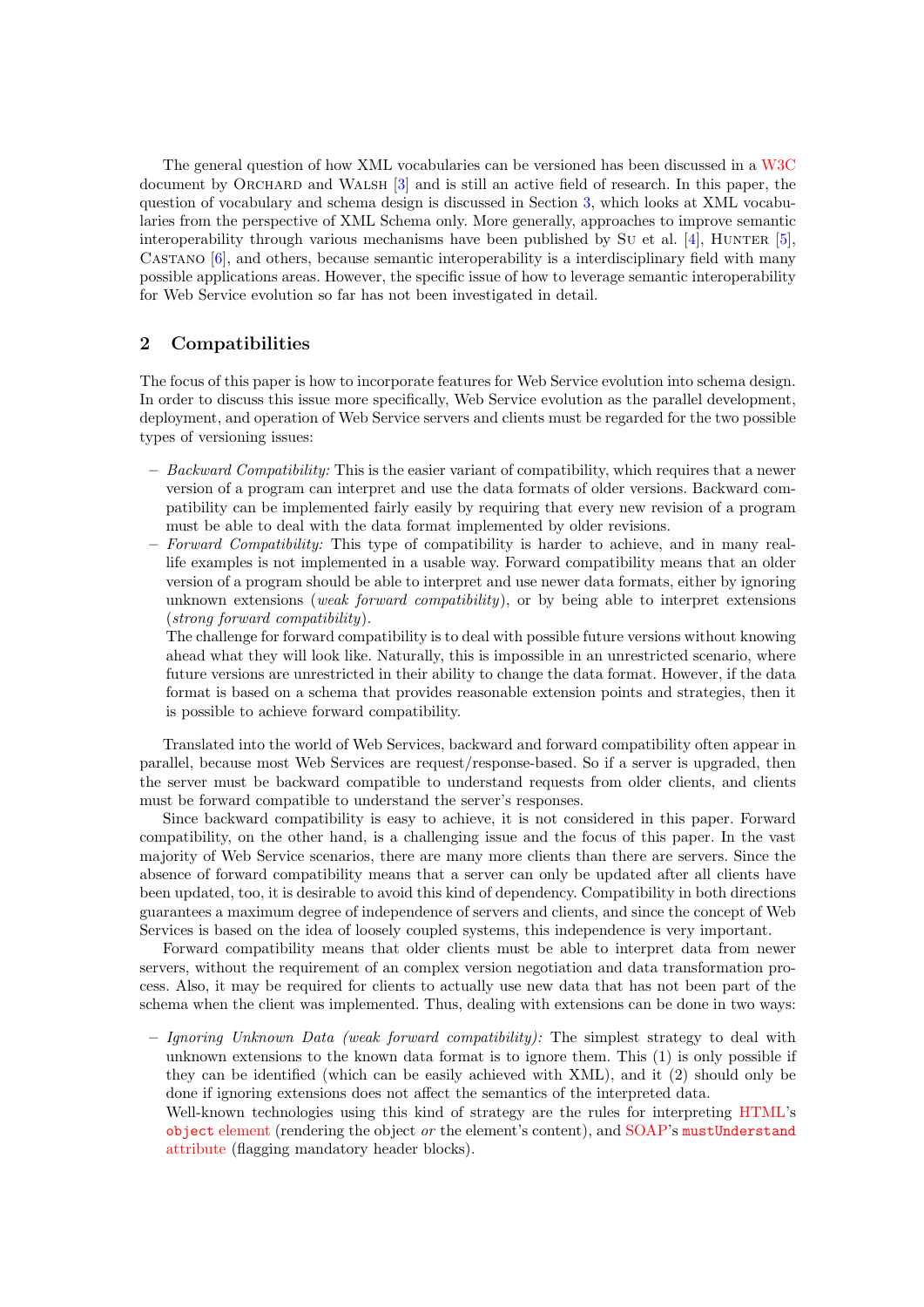<span id="page-1-0"></span>The general question of how XML vocabularies can be versioned has been discussed in a [W3C](http://dret.net/glossary/w3c) document by ORCHARD and WALSH [\[3\]](#page-11-0) and is still an active field of research. In this paper, the question of vocabulary and schema design is discussed in Section [3,](#page-2-0) which looks at XML vocabularies from the perspective of XML Schema only. More generally, approaches to improve semantic interoperability through various mechanisms have been published by Su et al. [\[4\]](#page-11-0), HUNTER [\[5\]](#page-11-0), Castano [\[6\]](#page-11-0), and others, because semantic interoperability is a interdisciplinary field with many possible applications areas. However, the specific issue of how to leverage semantic interoperability for Web Service evolution so far has not been investigated in detail.

### 2 Compatibilities

The focus of this paper is how to incorporate features for Web Service evolution into schema design. In order to discuss this issue more specifically, Web Service evolution as the parallel development, deployment, and operation of Web Service servers and clients must be regarded for the two possible types of versioning issues:

- $-$  Backward Compatibility: This is the easier variant of compatibility, which requires that a newer version of a program can interpret and use the data formats of older versions. Backward compatibility can be implemented fairly easily by requiring that every new revision of a program must be able to deal with the data format implemented by older revisions.
- Forward Compatibility: This type of compatibility is harder to achieve, and in many reallife examples is not implemented in a usable way. Forward compatibility means that an older version of a program should be able to interpret and use newer data formats, either by ignoring unknown extensions (weak forward compatibility), or by being able to interpret extensions (strong forward compatibility).

The challenge for forward compatibility is to deal with possible future versions without knowing ahead what they will look like. Naturally, this is impossible in an unrestricted scenario, where future versions are unrestricted in their ability to change the data format. However, if the data format is based on a schema that provides reasonable extension points and strategies, then it is possible to achieve forward compatibility.

Translated into the world of Web Services, backward and forward compatibility often appear in parallel, because most Web Services are request/response-based. So if a server is upgraded, then the server must be backward compatible to understand requests from older clients, and clients must be forward compatible to understand the server's responses.

Since backward compatibility is easy to achieve, it is not considered in this paper. Forward compatibility, on the other hand, is a challenging issue and the focus of this paper. In the vast majority of Web Service scenarios, there are many more clients than there are servers. Since the absence of forward compatibility means that a server can only be updated after all clients have been updated, too, it is desirable to avoid this kind of dependency. Compatibility in both directions guarantees a maximum degree of independence of servers and clients, and since the concept of Web Services is based on the idea of loosely coupled systems, this independence is very important.

Forward compatibility means that older clients must be able to interpret data from newer servers, without the requirement of an complex version negotiation and data transformation process. Also, it may be required for clients to actually use new data that has not been part of the schema when the client was implemented. Thus, dealing with extensions can be done in two ways:

– Ignoring Unknown Data (weak forward compatibility): The simplest strategy to deal with unknown extensions to the known data format is to ignore them. This (1) is only possible if they can be identified (which can be easily achieved with XML), and it (2) should only be done if ignoring extensions does not affect the semantics of the interpreted data.

Well-known technologies using this kind of strategy are the rules for interpreting [HTML'](http://dret.net/glossary/html)s object [element](http://www.w3.org/TR/html401/struct/objects.html#h-13.3) (rendering the object or the element's content), and  $SORP$ 's [mustUnderstand](http://www.w3.org/TR/soap12-part0/#L3031) [attribute](http://www.w3.org/TR/soap12-part0/#L3031) (flagging mandatory header blocks).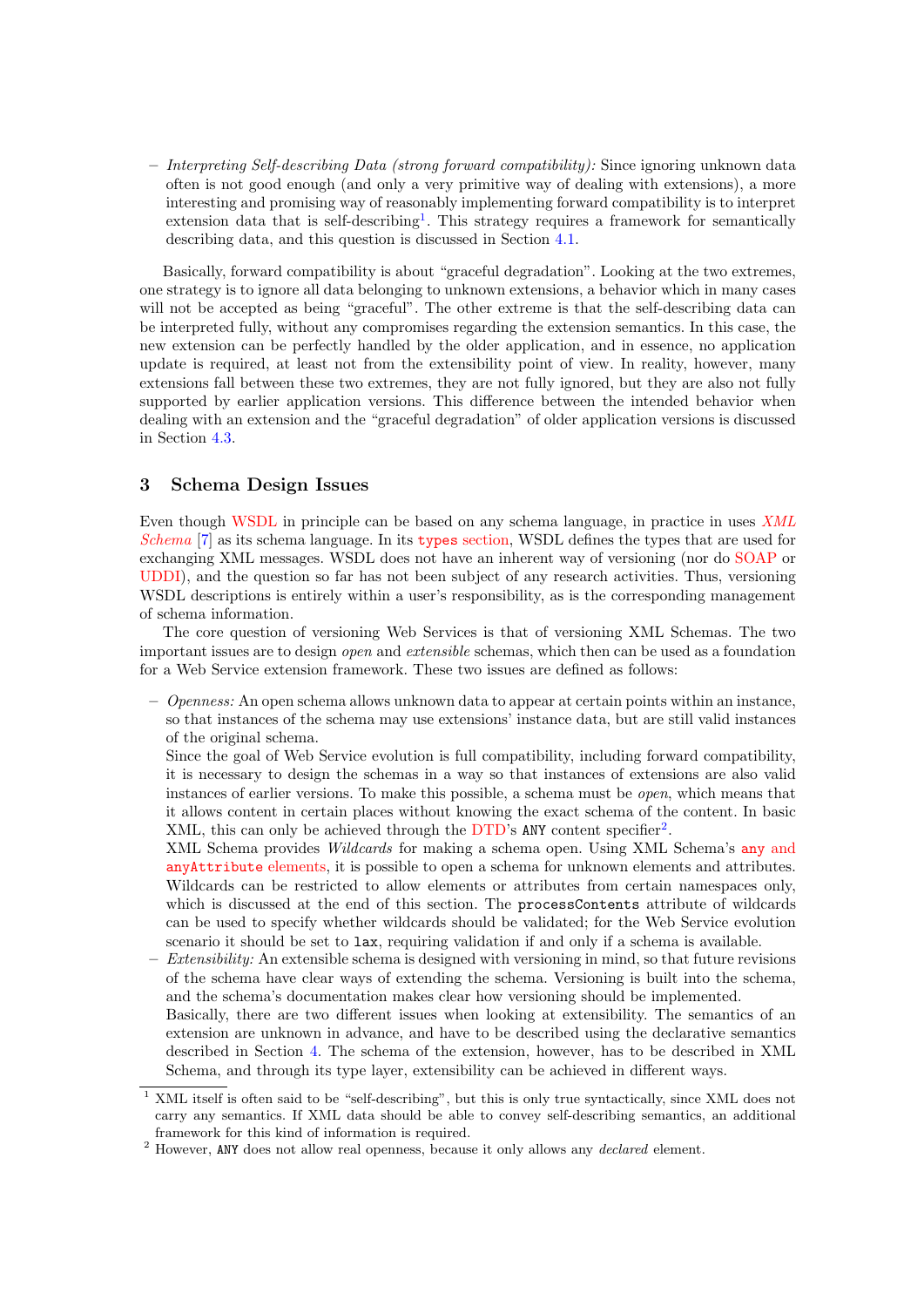<span id="page-2-0"></span>– Interpreting Self-describing Data (strong forward compatibility): Since ignoring unknown data often is not good enough (and only a very primitive way of dealing with extensions), a more interesting and promising way of reasonably implementing forward compatibility is to interpret extension data that is self-describing<sup>1</sup>. This strategy requires a framework for semantically describing data, and this question is discussed in Section [4.1.](#page-4-0)

Basically, forward compatibility is about "graceful degradation". Looking at the two extremes, one strategy is to ignore all data belonging to unknown extensions, a behavior which in many cases will not be accepted as being "graceful". The other extreme is that the self-describing data can be interpreted fully, without any compromises regarding the extension semantics. In this case, the new extension can be perfectly handled by the older application, and in essence, no application update is required, at least not from the extensibility point of view. In reality, however, many extensions fall between these two extremes, they are not fully ignored, but they are also not fully supported by earlier application versions. This difference between the intended behavior when dealing with an extension and the "graceful degradation" of older application versions is discussed in Section [4.3.](#page-8-0)

## 3 Schema Design Issues

Even though [WSDL](http://dret.net/glossary/wsdl) in principle can be based on any schema language, in practice in uses [XML](http://dret.net/glossary/xmlschema) [Schema](http://dret.net/glossary/xmlschema) [\[7\]](#page-11-0) as its schema language. In its types [section,](http://www.w3.org/TR/wsdl20/#eii-types) WSDL defines the types that are used for exchanging XML messages. WSDL does not have an inherent way of versioning (nor do [SOAP](http://dret.net/glossary/soap) or [UDDI\)](http://dret.net/glossary/uddi), and the question so far has not been subject of any research activities. Thus, versioning WSDL descriptions is entirely within a user's responsibility, as is the corresponding management of schema information.

The core question of versioning Web Services is that of versioning XML Schemas. The two important issues are to design open and extensible schemas, which then can be used as a foundation for a Web Service extension framework. These two issues are defined as follows:

 $-$  Openness: An open schema allows unknown data to appear at certain points within an instance, so that instances of the schema may use extensions' instance data, but are still valid instances of the original schema.

Since the goal of Web Service evolution is full compatibility, including forward compatibility, it is necessary to design the schemas in a way so that instances of extensions are also valid instances of earlier versions. To make this possible, a schema must be open, which means that it allows content in certain places without knowing the exact schema of the content. In basic XML, this can only be achieved through the [DTD'](http://dret.net/glossary/dtd)s ANY content specifier<sup>2</sup>.

XML Schema provides *Wildcards* for making a schema open. Using XML Schema's any [and](http://www.w3.org/TR/xmlschema-1/#Wildcards) [anyAttribute](http://www.w3.org/TR/xmlschema-1/#Wildcards) elements, it is possible to open a schema for unknown elements and attributes. Wildcards can be restricted to allow elements or attributes from certain namespaces only, which is discussed at the end of this section. The processContents attribute of wildcards can be used to specify whether wildcards should be validated; for the Web Service evolution scenario it should be set to lax, requiring validation if and only if a schema is available.

 $-$  *Extensibility:* An extensible schema is designed with versioning in mind, so that future revisions of the schema have clear ways of extending the schema. Versioning is built into the schema, and the schema's documentation makes clear how versioning should be implemented. Basically, there are two different issues when looking at extensibility. The semantics of an extension are unknown in advance, and have to be described using the declarative semantics described in Section [4.](#page-3-0) The schema of the extension, however, has to be described in XML

Schema, and through its type layer, extensibility can be achieved in different ways. <sup>1</sup> XML itself is often said to be "self-describing", but this is only true syntactically, since XML does not

carry any semantics. If XML data should be able to convey self-describing semantics, an additional framework for this kind of information is required.

 $2$  However, ANY does not allow real openness, because it only allows any *declared* element.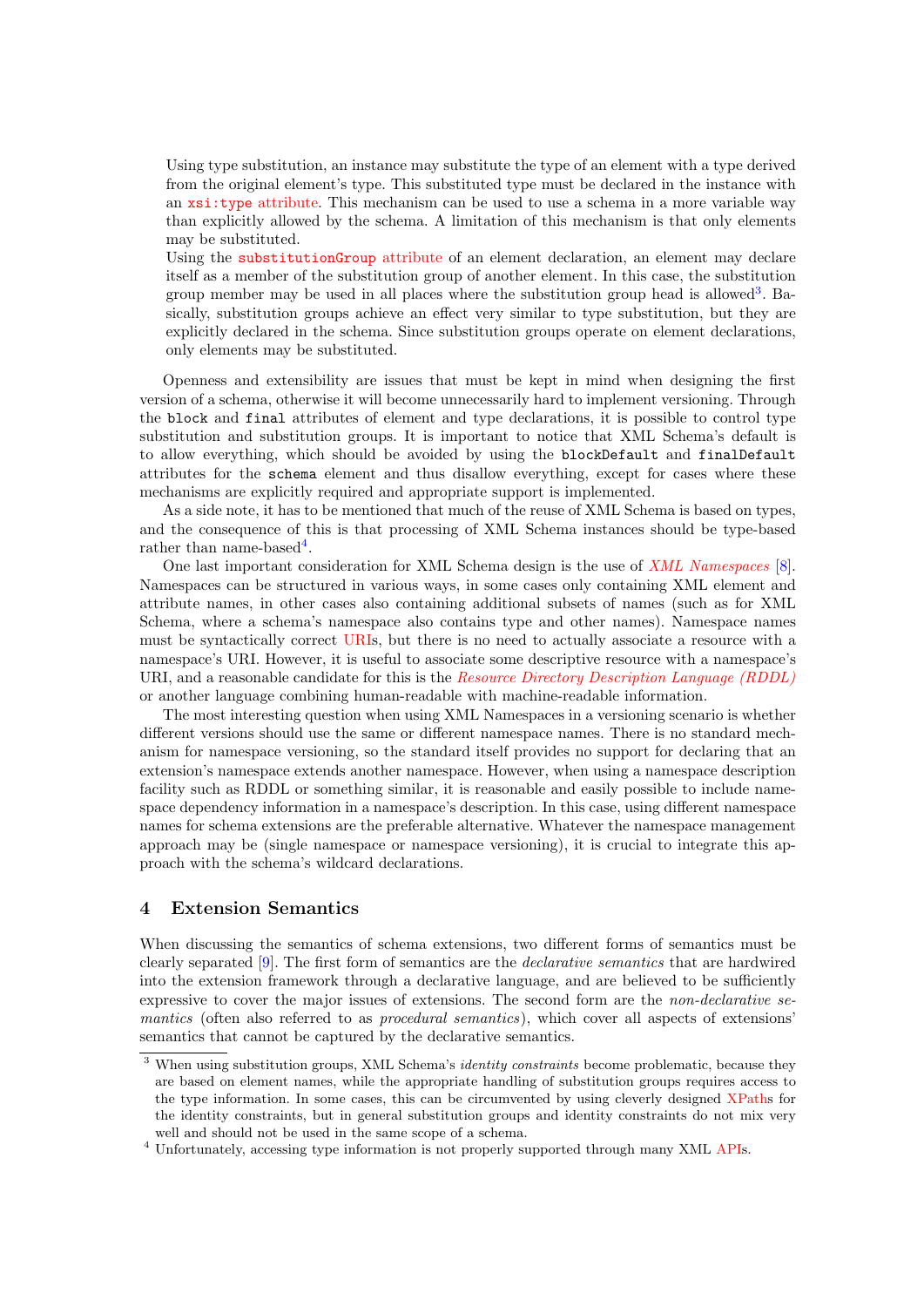<span id="page-3-0"></span>Using type substitution, an instance may substitute the type of an element with a type derived from the original element's type. This substituted type must be declared in the instance with an [xsi:type](http://www.w3.org/TR/xmlschema-1/#xsi_type) attribute. This mechanism can be used to use a schema in a more variable way than explicitly allowed by the schema. A limitation of this mechanism is that only elements may be substituted.

Using the [substitutionGroup](http://www.w3.org/TR/xmlschema-1/#key-equivalenceClass) attribute of an element declaration, an element may declare itself as a member of the substitution group of another element. In this case, the substitution group member may be used in all places where the substitution group head is allowed<sup>3</sup>. Basically, substitution groups achieve an effect very similar to type substitution, but they are explicitly declared in the schema. Since substitution groups operate on element declarations, only elements may be substituted.

Openness and extensibility are issues that must be kept in mind when designing the first version of a schema, otherwise it will become unnecessarily hard to implement versioning. Through the block and final attributes of element and type declarations, it is possible to control type substitution and substitution groups. It is important to notice that XML Schema's default is to allow everything, which should be avoided by using the blockDefault and finalDefault attributes for the schema element and thus disallow everything, except for cases where these mechanisms are explicitly required and appropriate support is implemented.

As a side note, it has to be mentioned that much of the reuse of XML Schema is based on types, and the consequence of this is that processing of XML Schema instances should be type-based rather than name-based<sup>4</sup>.

One last important consideration for XML Schema design is the use of [XML Namespaces](http://dret.net/glossary/xmlns) [\[8\]](#page-11-0). Namespaces can be structured in various ways, in some cases only containing XML element and attribute names, in other cases also containing additional subsets of names (such as for XML Schema, where a schema's namespace also contains type and other names). Namespace names must be syntactically correct [URIs](http://dret.net/glossary/uri), but there is no need to actually associate a resource with a namespace's URI. However, it is useful to associate some descriptive resource with a namespace's URI, and a reasonable candidate for this is the [Resource Directory Description Language \(RDDL\)](http://dret.net/glossary/rddl) or another language combining human-readable with machine-readable information.

The most interesting question when using XML Namespaces in a versioning scenario is whether different versions should use the same or different namespace names. There is no standard mechanism for namespace versioning, so the standard itself provides no support for declaring that an extension's namespace extends another namespace. However, when using a namespace description facility such as RDDL or something similar, it is reasonable and easily possible to include namespace dependency information in a namespace's description. In this case, using different namespace names for schema extensions are the preferable alternative. Whatever the namespace management approach may be (single namespace or namespace versioning), it is crucial to integrate this approach with the schema's wildcard declarations.

## 4 Extension Semantics

When discussing the semantics of schema extensions, two different forms of semantics must be clearly separated [\[9\]](#page-11-0). The first form of semantics are the declarative semantics that are hardwired into the extension framework through a declarative language, and are believed to be sufficiently expressive to cover the major issues of extensions. The second form are the non-declarative semantics (often also referred to as procedural semantics), which cover all aspects of extensions' semantics that cannot be captured by the declarative semantics.

<sup>&</sup>lt;sup>3</sup> When using substitution groups, XML Schema's *identity constraints* become problematic, because they are based on element names, while the appropriate handling of substitution groups requires access to the type information. In some cases, this can be circumvented by using cleverly designed [XPaths](http://dret.net/glossary/xpath) for the identity constraints, but in general substitution groups and identity constraints do not mix very well and should not be used in the same scope of a schema.

<sup>4</sup> Unfortunately, accessing type information is not properly supported through many XML [APIs](http://dret.net/glossary/api).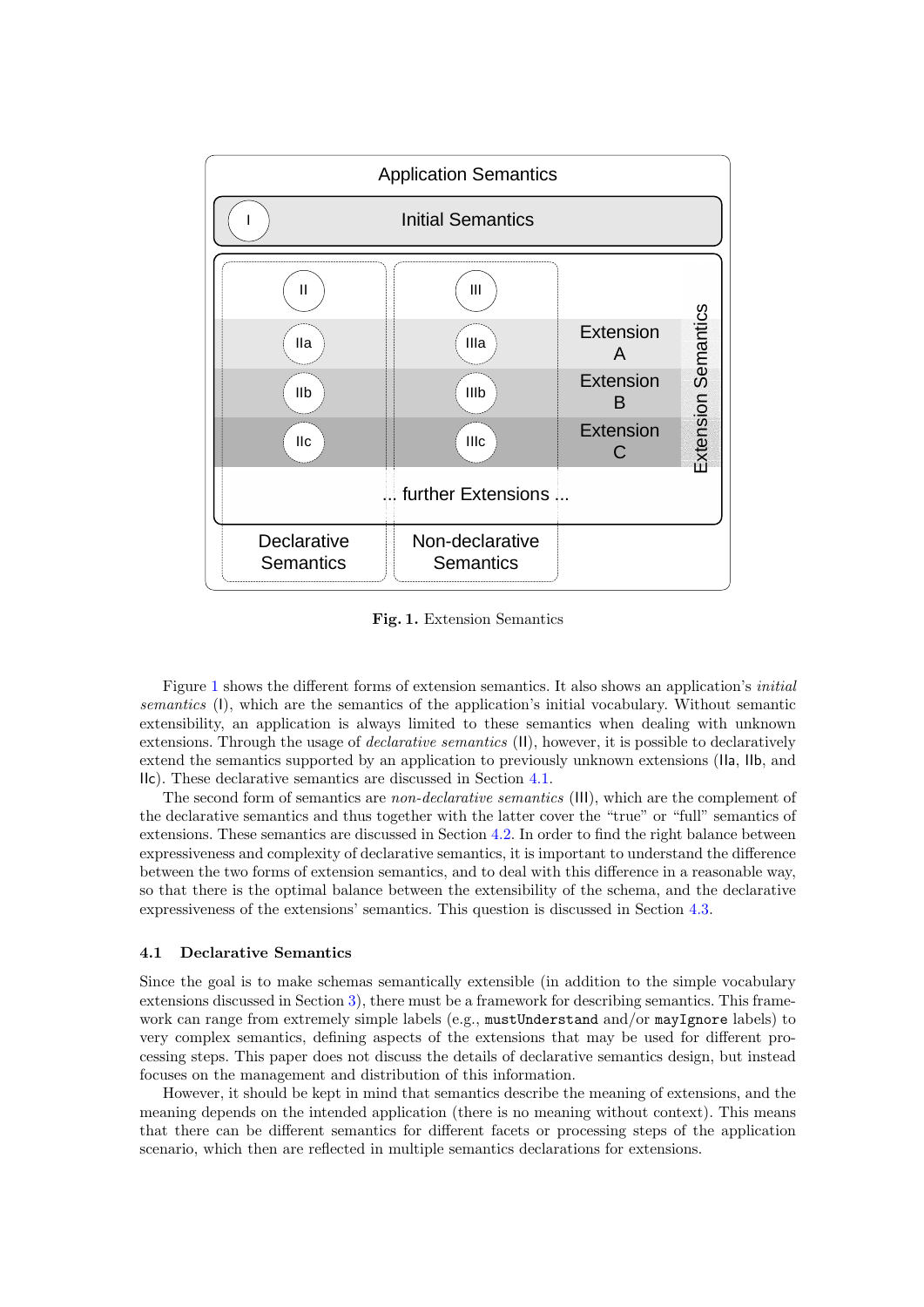<span id="page-4-0"></span>

Fig. 1. Extension Semantics

Figure 1 shows the different forms of extension semantics. It also shows an application's initial semantics (I), which are the semantics of the application's initial vocabulary. Without semantic extensibility, an application is always limited to these semantics when dealing with unknown extensions. Through the usage of *declarative semantics* (II), however, it is possible to declaratively extend the semantics supported by an application to previously unknown extensions (IIa, IIb, and IIc). These declarative semantics are discussed in Section 4.1.

The second form of semantics are *non-declarative semantics* (III), which are the complement of the declarative semantics and thus together with the latter cover the "true" or "full" semantics of extensions. These semantics are discussed in Section [4.2.](#page-7-0) In order to find the right balance between expressiveness and complexity of declarative semantics, it is important to understand the difference between the two forms of extension semantics, and to deal with this difference in a reasonable way, so that there is the optimal balance between the extensibility of the schema, and the declarative expressiveness of the extensions' semantics. This question is discussed in Section [4.3.](#page-8-0)

#### 4.1 Declarative Semantics

Since the goal is to make schemas semantically extensible (in addition to the simple vocabulary extensions discussed in Section [3\)](#page-2-0), there must be a framework for describing semantics. This framework can range from extremely simple labels (e.g., mustUnderstand and/or mayIgnore labels) to very complex semantics, defining aspects of the extensions that may be used for different processing steps. This paper does not discuss the details of declarative semantics design, but instead focuses on the management and distribution of this information.

However, it should be kept in mind that semantics describe the meaning of extensions, and the meaning depends on the intended application (there is no meaning without context). This means that there can be different semantics for different facets or processing steps of the application scenario, which then are reflected in multiple semantics declarations for extensions.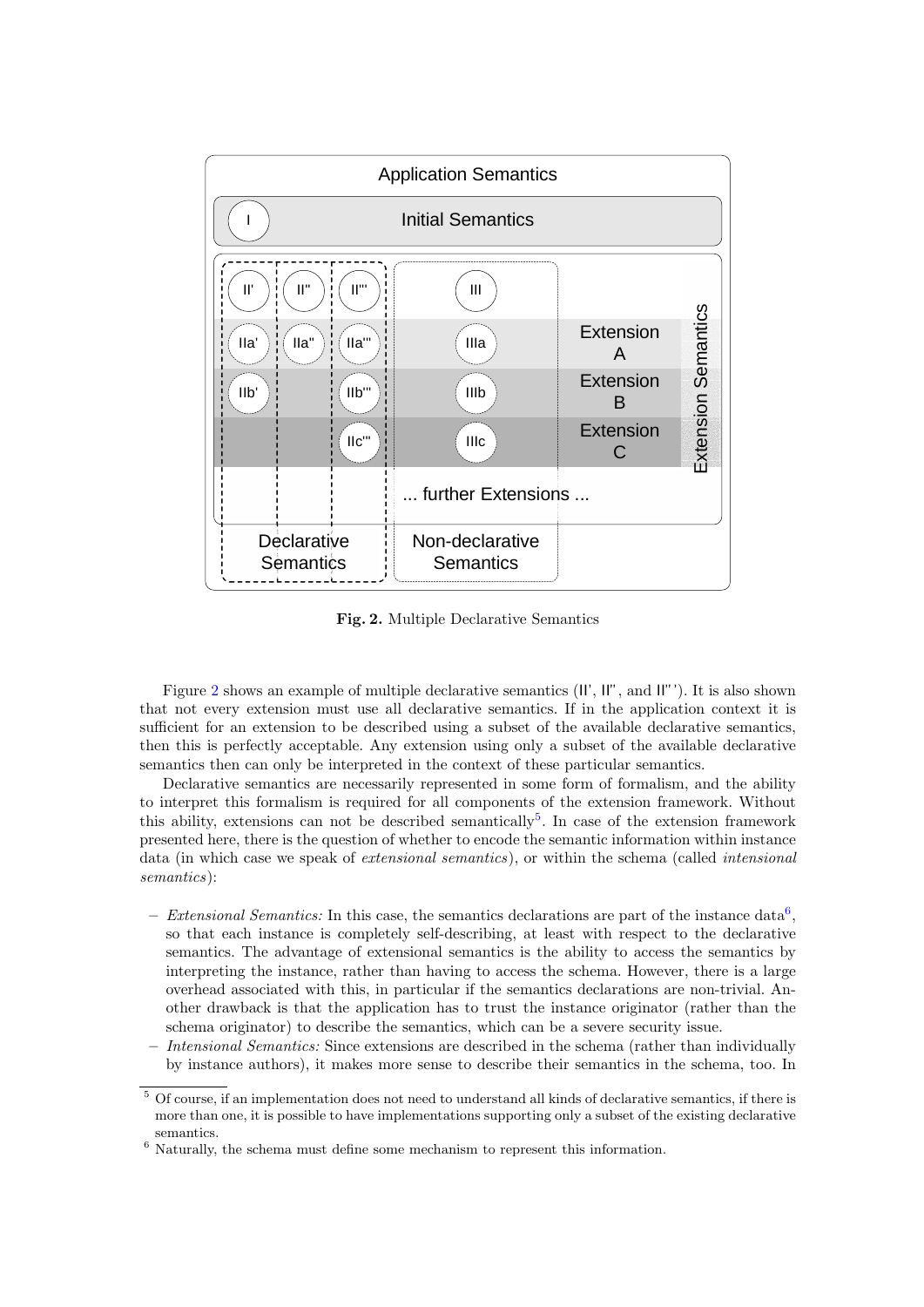

Fig. 2. Multiple Declarative Semantics

Figure 2 shows an example of multiple declarative semantics (II', II', and II''). It is also shown that not every extension must use all declarative semantics. If in the application context it is sufficient for an extension to be described using a subset of the available declarative semantics, then this is perfectly acceptable. Any extension using only a subset of the available declarative semantics then can only be interpreted in the context of these particular semantics.

Declarative semantics are necessarily represented in some form of formalism, and the ability to interpret this formalism is required for all components of the extension framework. Without this ability, extensions can not be described semantically<sup>5</sup>. In case of the extension framework presented here, there is the question of whether to encode the semantic information within instance data (in which case we speak of *extensional semantics*), or within the schema (called *intensional* semantics):

- Extensional Semantics: In this case, the semantics declarations are part of the instance data<sup>6</sup>, so that each instance is completely self-describing, at least with respect to the declarative semantics. The advantage of extensional semantics is the ability to access the semantics by interpreting the instance, rather than having to access the schema. However, there is a large overhead associated with this, in particular if the semantics declarations are non-trivial. Another drawback is that the application has to trust the instance originator (rather than the schema originator) to describe the semantics, which can be a severe security issue.
- Intensional Semantics: Since extensions are described in the schema (rather than individually by instance authors), it makes more sense to describe their semantics in the schema, too. In

<sup>5</sup> Of course, if an implementation does not need to understand all kinds of declarative semantics, if there is more than one, it is possible to have implementations supporting only a subset of the existing declarative semantics.

 $^6$  Naturally, the schema must define some mechanism to represent this information.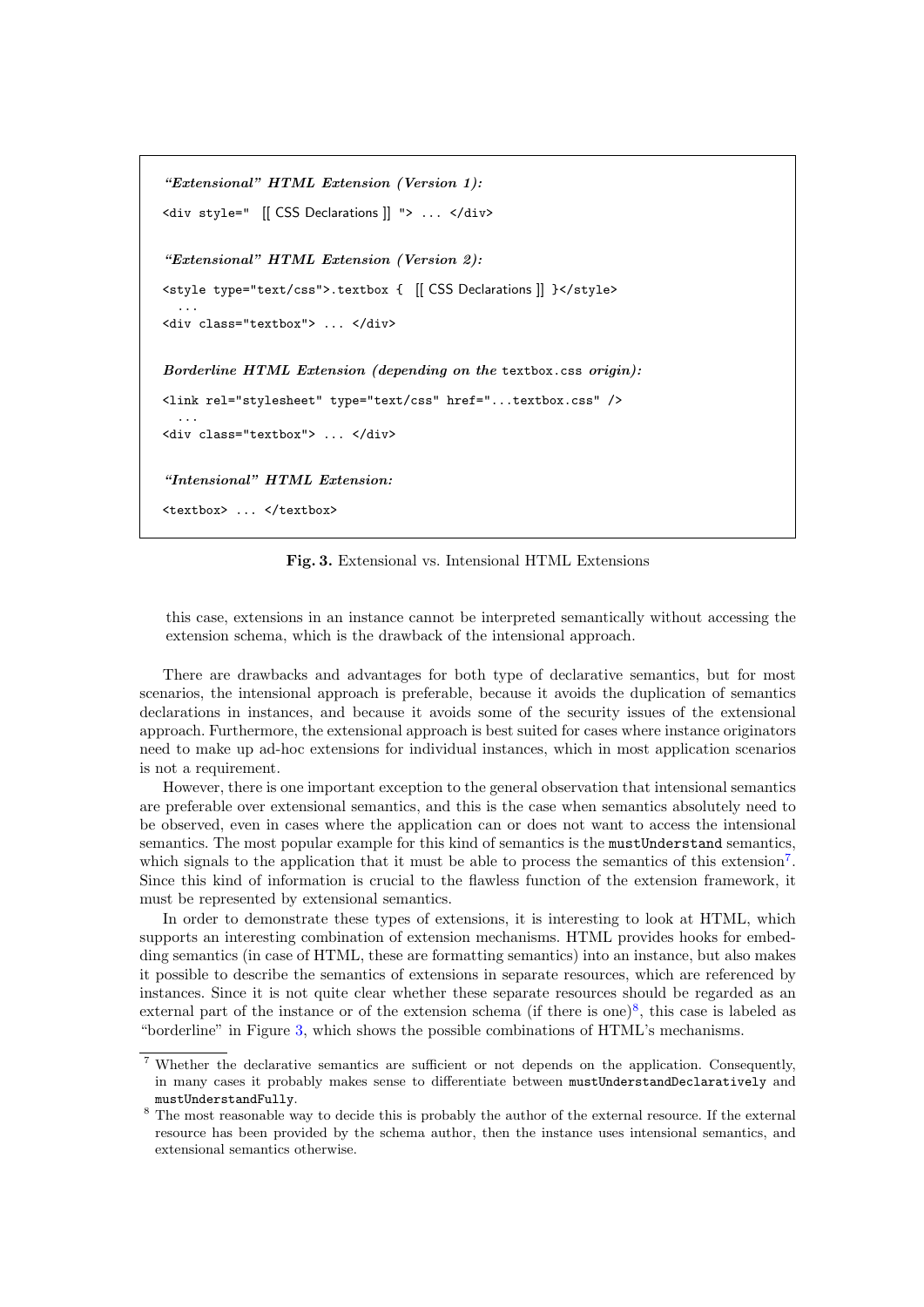```
"Extensional" HTML Extension (Version 1):
<div style=" [[ CSS Declarations ]] "> ... </div>
"Extensional" HTML Extension (Version 2):
<style type="text/css">.textbox { [[ CSS Declarations ]] }</style>
  ...
<div class="textbox"> ... </div>
Borderline HTML Extension (depending on the textbox.css origin):
<link rel="stylesheet" type="text/css" href="...textbox.css" />
  ...
<div class="textbox"> ... </div>
"Intensional" HTML Extension:
<textbox> ... </textbox>
```
Fig. 3. Extensional vs. Intensional HTML Extensions

this case, extensions in an instance cannot be interpreted semantically without accessing the extension schema, which is the drawback of the intensional approach.

There are drawbacks and advantages for both type of declarative semantics, but for most scenarios, the intensional approach is preferable, because it avoids the duplication of semantics declarations in instances, and because it avoids some of the security issues of the extensional approach. Furthermore, the extensional approach is best suited for cases where instance originators need to make up ad-hoc extensions for individual instances, which in most application scenarios is not a requirement.

However, there is one important exception to the general observation that intensional semantics are preferable over extensional semantics, and this is the case when semantics absolutely need to be observed, even in cases where the application can or does not want to access the intensional semantics. The most popular example for this kind of semantics is the mustUnderstand semantics, which signals to the application that it must be able to process the semantics of this extension<sup>7</sup>. Since this kind of information is crucial to the flawless function of the extension framework, it must be represented by extensional semantics.

In order to demonstrate these types of extensions, it is interesting to look at HTML, which supports an interesting combination of extension mechanisms. HTML provides hooks for embedding semantics (in case of HTML, these are formatting semantics) into an instance, but also makes it possible to describe the semantics of extensions in separate resources, which are referenced by instances. Since it is not quite clear whether these separate resources should be regarded as an external part of the instance or of the extension schema (if there is one)<sup>8</sup>, this case is labeled as "borderline" in Figure 3, which shows the possible combinations of HTML's mechanisms.

<sup>7</sup> Whether the declarative semantics are sufficient or not depends on the application. Consequently, in many cases it probably makes sense to differentiate between mustUnderstandDeclaratively and mustUnderstandFully.

<sup>&</sup>lt;sup>8</sup> The most reasonable way to decide this is probably the author of the external resource. If the external resource has been provided by the schema author, then the instance uses intensional semantics, and extensional semantics otherwise.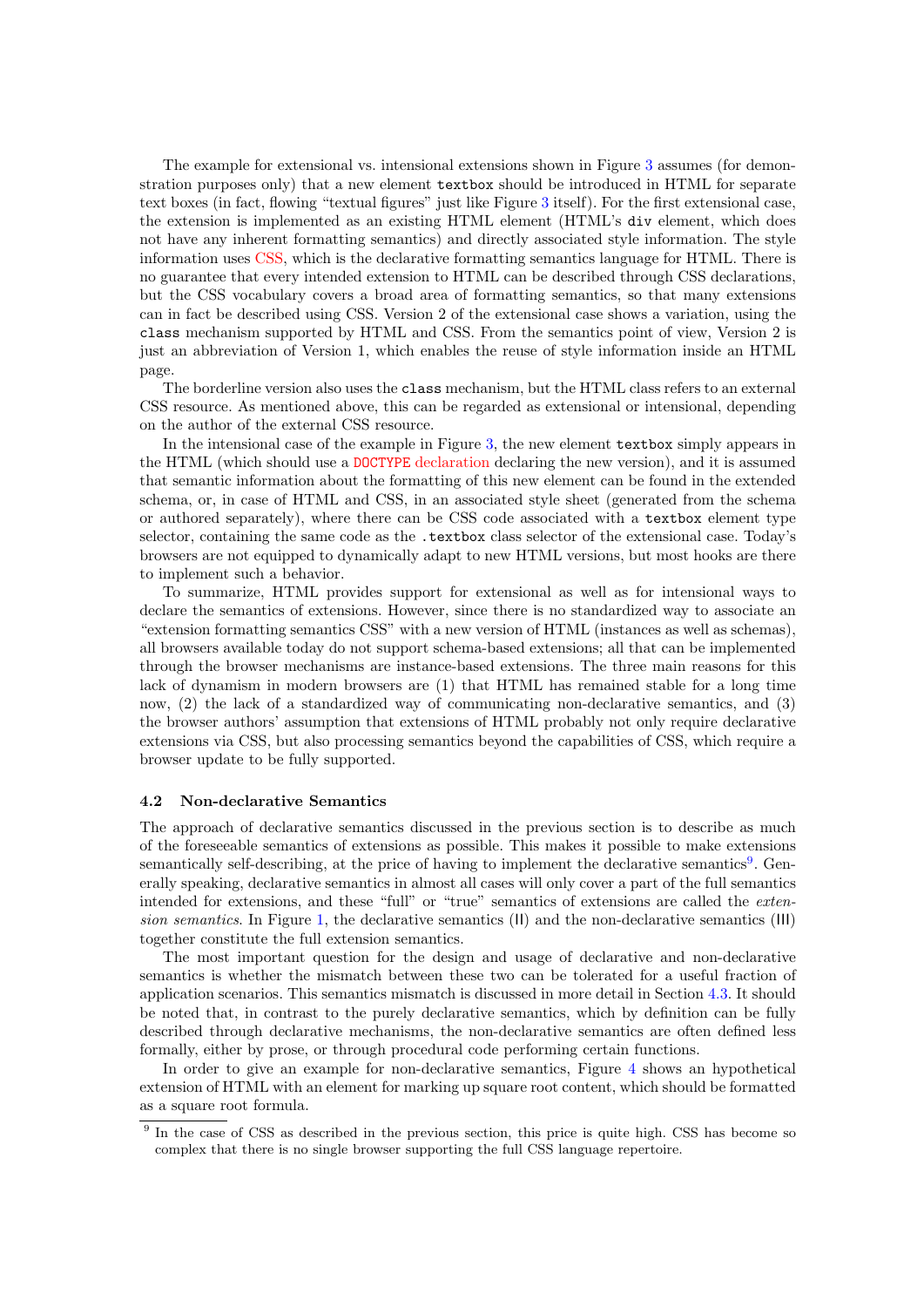<span id="page-7-0"></span>The example for extensional vs. intensional extensions shown in Figure [3](#page-6-0) assumes (for demonstration purposes only) that a new element textbox should be introduced in HTML for separate text boxes (in fact, flowing "textual figures" just like Figure [3](#page-6-0) itself). For the first extensional case, the extension is implemented as an existing HTML element (HTML's div element, which does not have any inherent formatting semantics) and directly associated style information. The style information uses [CSS,](http://dret.net/glossary/css) which is the declarative formatting semantics language for HTML. There is no guarantee that every intended extension to HTML can be described through CSS declarations, but the CSS vocabulary covers a broad area of formatting semantics, so that many extensions can in fact be described using CSS. Version 2 of the extensional case shows a variation, using the class mechanism supported by HTML and CSS. From the semantics point of view, Version 2 is just an abbreviation of Version 1, which enables the reuse of style information inside an HTML page.

The borderline version also uses the class mechanism, but the HTML class refers to an external CSS resource. As mentioned above, this can be regarded as extensional or intensional, depending on the author of the external CSS resource.

In the intensional case of the example in Figure [3,](#page-6-0) the new element textbox simply appears in the HTML (which should use a DOCTYPE [declaration](http://www.w3.org/TR/REC-xml/#dt-doctype) declaring the new version), and it is assumed that semantic information about the formatting of this new element can be found in the extended schema, or, in case of HTML and CSS, in an associated style sheet (generated from the schema or authored separately), where there can be CSS code associated with a textbox element type selector, containing the same code as the .textbox class selector of the extensional case. Today's browsers are not equipped to dynamically adapt to new HTML versions, but most hooks are there to implement such a behavior.

To summarize, HTML provides support for extensional as well as for intensional ways to declare the semantics of extensions. However, since there is no standardized way to associate an "extension formatting semantics CSS" with a new version of HTML (instances as well as schemas), all browsers available today do not support schema-based extensions; all that can be implemented through the browser mechanisms are instance-based extensions. The three main reasons for this lack of dynamism in modern browsers are (1) that HTML has remained stable for a long time now, (2) the lack of a standardized way of communicating non-declarative semantics, and (3) the browser authors' assumption that extensions of HTML probably not only require declarative extensions via CSS, but also processing semantics beyond the capabilities of CSS, which require a browser update to be fully supported.

#### 4.2 Non-declarative Semantics

The approach of declarative semantics discussed in the previous section is to describe as much of the foreseeable semantics of extensions as possible. This makes it possible to make extensions semantically self-describing, at the price of having to implement the declarative semantics<sup>9</sup>. Generally speaking, declarative semantics in almost all cases will only cover a part of the full semantics intended for extensions, and these "full" or "true" semantics of extensions are called the extension semantics. In Figure [1,](#page-4-0) the declarative semantics (II) and the non-declarative semantics (III) together constitute the full extension semantics.

The most important question for the design and usage of declarative and non-declarative semantics is whether the mismatch between these two can be tolerated for a useful fraction of application scenarios. This semantics mismatch is discussed in more detail in Section [4.3.](#page-8-0) It should be noted that, in contrast to the purely declarative semantics, which by definition can be fully described through declarative mechanisms, the non-declarative semantics are often defined less formally, either by prose, or through procedural code performing certain functions.

In order to give an example for non-declarative semantics, Figure [4](#page-8-0) shows an hypothetical extension of HTML with an element for marking up square root content, which should be formatted as a square root formula.

<sup>&</sup>lt;sup>9</sup> In the case of CSS as described in the previous section, this price is quite high. CSS has become so complex that there is no single browser supporting the full CSS language repertoire.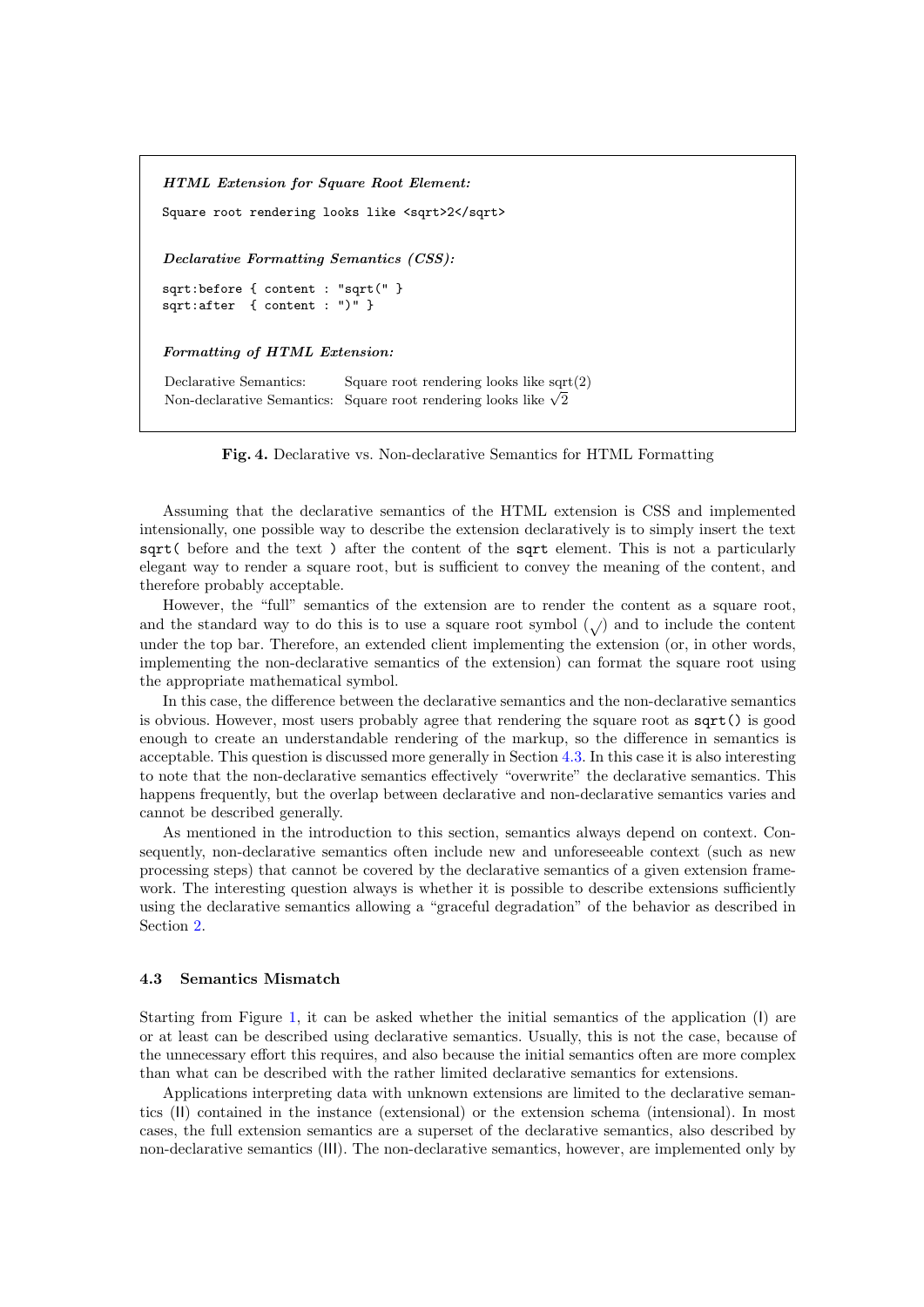```
HTML Extension for Square Root Element:
Square root rendering looks like <sqrt>2</sqrt>
Declarative Formatting Semantics (CSS):
sqrt:before { content : "sqrt(" }
sqrt:after { content : ")" }
Formatting of HTML Extension:
Declarative Semantics: Square root rendering looks like sqrt(2)
Declarative Semantics: Square root rendering looks like sql<br>Non-declarative Semantics: Square root rendering looks like √2
```


Assuming that the declarative semantics of the HTML extension is CSS and implemented intensionally, one possible way to describe the extension declaratively is to simply insert the text sqrt( before and the text ) after the content of the sqrt element. This is not a particularly elegant way to render a square root, but is sufficient to convey the meaning of the content, and therefore probably acceptable.

However, the "full" semantics of the extension are to render the content as a square root, and the standard way to do this is to use a square root symbol  $\binom{\gamma}{\gamma}$  and to include the content under the top bar. Therefore, an extended client implementing the extension (or, in other words, implementing the non-declarative semantics of the extension) can format the square root using the appropriate mathematical symbol.

In this case, the difference between the declarative semantics and the non-declarative semantics is obvious. However, most users probably agree that rendering the square root as sqrt() is good enough to create an understandable rendering of the markup, so the difference in semantics is acceptable. This question is discussed more generally in Section 4.3. In this case it is also interesting to note that the non-declarative semantics effectively "overwrite" the declarative semantics. This happens frequently, but the overlap between declarative and non-declarative semantics varies and cannot be described generally.

As mentioned in the introduction to this section, semantics always depend on context. Consequently, non-declarative semantics often include new and unforeseeable context (such as new processing steps) that cannot be covered by the declarative semantics of a given extension framework. The interesting question always is whether it is possible to describe extensions sufficiently using the declarative semantics allowing a "graceful degradation" of the behavior as described in Section [2.](#page-1-0)

#### 4.3 Semantics Mismatch

Starting from Figure [1,](#page-4-0) it can be asked whether the initial semantics of the application (I) are or at least can be described using declarative semantics. Usually, this is not the case, because of the unnecessary effort this requires, and also because the initial semantics often are more complex than what can be described with the rather limited declarative semantics for extensions.

Applications interpreting data with unknown extensions are limited to the declarative semantics (II) contained in the instance (extensional) or the extension schema (intensional). In most cases, the full extension semantics are a superset of the declarative semantics, also described by non-declarative semantics (III). The non-declarative semantics, however, are implemented only by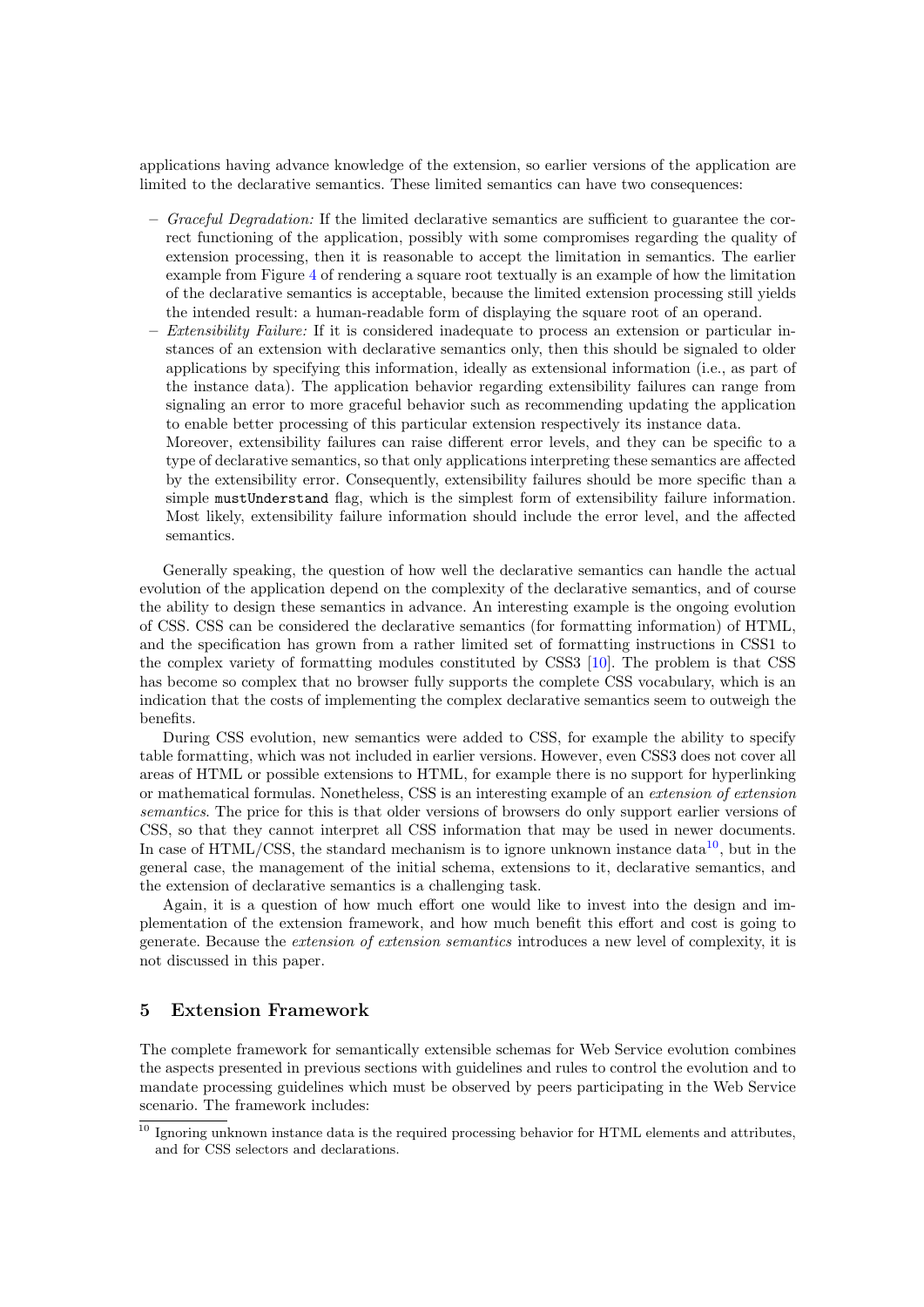applications having advance knowledge of the extension, so earlier versions of the application are limited to the declarative semantics. These limited semantics can have two consequences:

- Graceful Degradation: If the limited declarative semantics are sufficient to guarantee the correct functioning of the application, possibly with some compromises regarding the quality of extension processing, then it is reasonable to accept the limitation in semantics. The earlier example from Figure [4](#page-8-0) of rendering a square root textually is an example of how the limitation of the declarative semantics is acceptable, because the limited extension processing still yields the intended result: a human-readable form of displaying the square root of an operand.
- Extensibility Failure: If it is considered inadequate to process an extension or particular instances of an extension with declarative semantics only, then this should be signaled to older applications by specifying this information, ideally as extensional information (i.e., as part of the instance data). The application behavior regarding extensibility failures can range from signaling an error to more graceful behavior such as recommending updating the application to enable better processing of this particular extension respectively its instance data. Moreover, extensibility failures can raise different error levels, and they can be specific to a type of declarative semantics, so that only applications interpreting these semantics are affected by the extensibility error. Consequently, extensibility failures should be more specific than a simple mustUnderstand flag, which is the simplest form of extensibility failure information. Most likely, extensibility failure information should include the error level, and the affected semantics.

Generally speaking, the question of how well the declarative semantics can handle the actual evolution of the application depend on the complexity of the declarative semantics, and of course the ability to design these semantics in advance. An interesting example is the ongoing evolution of CSS. CSS can be considered the declarative semantics (for formatting information) of HTML, and the specification has grown from a rather limited set of formatting instructions in CSS1 to the complex variety of formatting modules constituted by CSS3 [\[10\]](#page-11-0). The problem is that CSS has become so complex that no browser fully supports the complete CSS vocabulary, which is an indication that the costs of implementing the complex declarative semantics seem to outweigh the benefits.

During CSS evolution, new semantics were added to CSS, for example the ability to specify table formatting, which was not included in earlier versions. However, even CSS3 does not cover all areas of HTML or possible extensions to HTML, for example there is no support for hyperlinking or mathematical formulas. Nonetheless, CSS is an interesting example of an extension of extension semantics. The price for this is that older versions of browsers do only support earlier versions of CSS, so that they cannot interpret all CSS information that may be used in newer documents. In case of  $HTML/CSS$ , the standard mechanism is to ignore unknown instance data<sup>10</sup>, but in the general case, the management of the initial schema, extensions to it, declarative semantics, and the extension of declarative semantics is a challenging task.

Again, it is a question of how much effort one would like to invest into the design and implementation of the extension framework, and how much benefit this effort and cost is going to generate. Because the extension of extension semantics introduces a new level of complexity, it is not discussed in this paper.

### 5 Extension Framework

The complete framework for semantically extensible schemas for Web Service evolution combines the aspects presented in previous sections with guidelines and rules to control the evolution and to mandate processing guidelines which must be observed by peers participating in the Web Service scenario. The framework includes:

 $\frac{10}{10}$  Ignoring unknown instance data is the required processing behavior for HTML elements and attributes, and for CSS selectors and declarations.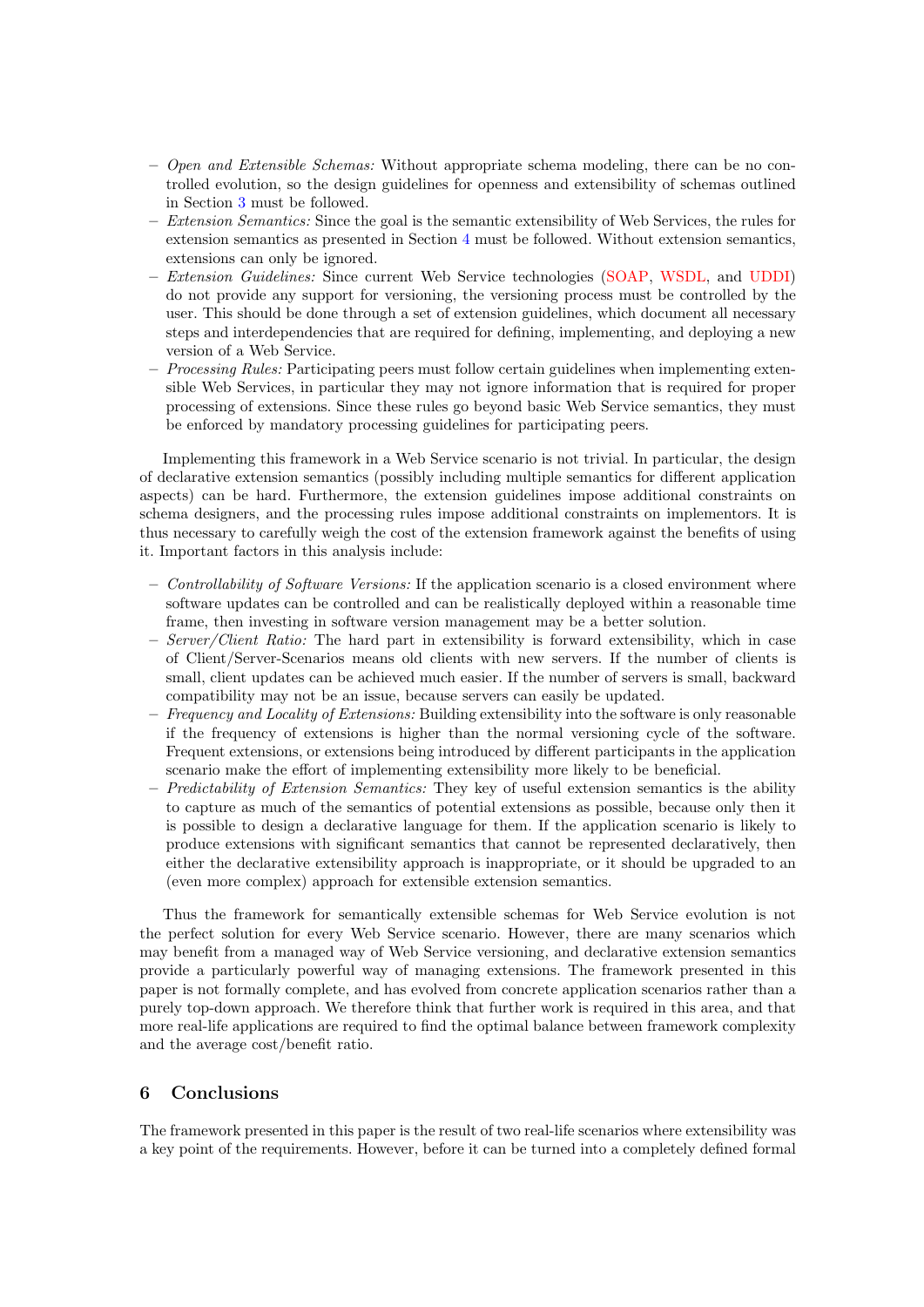- Open and Extensible Schemas: Without appropriate schema modeling, there can be no controlled evolution, so the design guidelines for openness and extensibility of schemas outlined in Section [3](#page-2-0) must be followed.
- Extension Semantics: Since the goal is the semantic extensibility of Web Services, the rules for extension semantics as presented in Section [4](#page-3-0) must be followed. Without extension semantics, extensions can only be ignored.
- Extension Guidelines: Since current Web Service technologies [\(SOAP,](http://dret.net/glossary/soap) [WSDL,](http://dret.net/glossary/wsdl) and [UDDI\)](http://dret.net/glossary/uddi) do not provide any support for versioning, the versioning process must be controlled by the user. This should be done through a set of extension guidelines, which document all necessary steps and interdependencies that are required for defining, implementing, and deploying a new version of a Web Service.
- Processing Rules: Participating peers must follow certain guidelines when implementing extensible Web Services, in particular they may not ignore information that is required for proper processing of extensions. Since these rules go beyond basic Web Service semantics, they must be enforced by mandatory processing guidelines for participating peers.

Implementing this framework in a Web Service scenario is not trivial. In particular, the design of declarative extension semantics (possibly including multiple semantics for different application aspects) can be hard. Furthermore, the extension guidelines impose additional constraints on schema designers, and the processing rules impose additional constraints on implementors. It is thus necessary to carefully weigh the cost of the extension framework against the benefits of using it. Important factors in this analysis include:

- $-$  Controllability of Software Versions: If the application scenario is a closed environment where software updates can be controlled and can be realistically deployed within a reasonable time frame, then investing in software version management may be a better solution.
- $-$  Server/Client Ratio: The hard part in extensibility is forward extensibility, which in case of Client/Server-Scenarios means old clients with new servers. If the number of clients is small, client updates can be achieved much easier. If the number of servers is small, backward compatibility may not be an issue, because servers can easily be updated.
- $-$  Frequency and Locality of Extensions: Building extensibility into the software is only reasonable if the frequency of extensions is higher than the normal versioning cycle of the software. Frequent extensions, or extensions being introduced by different participants in the application scenario make the effort of implementing extensibility more likely to be beneficial.
- $-$  Predictability of Extension Semantics: They key of useful extension semantics is the ability to capture as much of the semantics of potential extensions as possible, because only then it is possible to design a declarative language for them. If the application scenario is likely to produce extensions with significant semantics that cannot be represented declaratively, then either the declarative extensibility approach is inappropriate, or it should be upgraded to an (even more complex) approach for extensible extension semantics.

Thus the framework for semantically extensible schemas for Web Service evolution is not the perfect solution for every Web Service scenario. However, there are many scenarios which may benefit from a managed way of Web Service versioning, and declarative extension semantics provide a particularly powerful way of managing extensions. The framework presented in this paper is not formally complete, and has evolved from concrete application scenarios rather than a purely top-down approach. We therefore think that further work is required in this area, and that more real-life applications are required to find the optimal balance between framework complexity and the average cost/benefit ratio.

# 6 Conclusions

The framework presented in this paper is the result of two real-life scenarios where extensibility was a key point of the requirements. However, before it can be turned into a completely defined formal